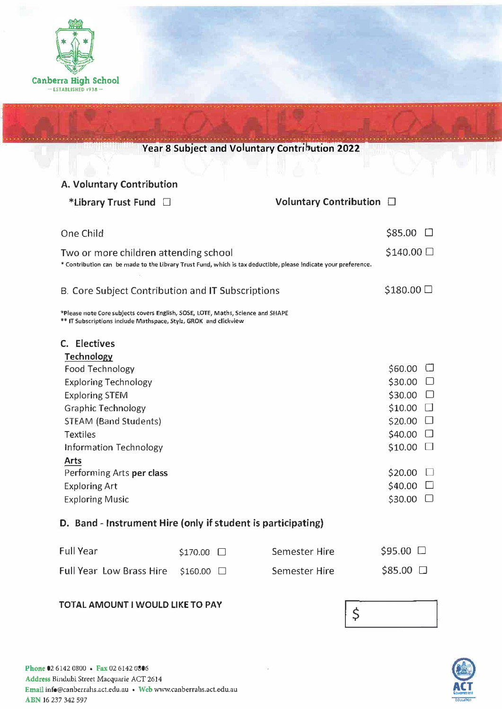

|                                                                                                                                                     |            | Year 8 Subject and Voluntary Contribution 2022 |                         |
|-----------------------------------------------------------------------------------------------------------------------------------------------------|------------|------------------------------------------------|-------------------------|
|                                                                                                                                                     |            |                                                |                         |
| A. Voluntary Contribution                                                                                                                           |            |                                                |                         |
| *Library Trust Fund $\Box$                                                                                                                          |            | Voluntary Contribution $\Box$                  |                         |
| One Child                                                                                                                                           |            |                                                | $$85.00$ $\square$      |
| Two or more children attending school                                                                                                               |            |                                                | $$140.00$ $\square$     |
| * Contribution can be made to the Library Trust Fund, which is tax deductible, please indicate your preference.                                     |            |                                                |                         |
| B. Core Subject Contribution and IT Subscriptions                                                                                                   |            |                                                | $$180.00$ $\square$     |
| *Please note Core subjects covers English, SOSE, LOTE, Maths, Science and SHAPE<br>** IT Subscriptions include Mathspace, Stylz, GROK and clickview |            |                                                |                         |
| C. Electives                                                                                                                                        |            |                                                |                         |
| <b>Technology</b>                                                                                                                                   |            |                                                |                         |
| Food Technology                                                                                                                                     |            |                                                | $$60.00$ $\Box$         |
| <b>Exploring Technology</b>                                                                                                                         |            |                                                | $$30.00$ $\Box$         |
| <b>Exploring STEM</b>                                                                                                                               |            |                                                | \$30.00<br>$\Box$       |
| <b>Graphic Technology</b>                                                                                                                           |            |                                                | \$10.00<br>$\mathbf{L}$ |
| <b>STEAM (Band Students)</b>                                                                                                                        |            |                                                | $$20.00$ $\Box$         |
| <b>Textiles</b>                                                                                                                                     |            |                                                | $$40.00$ $\square$      |
| Information Technology                                                                                                                              |            |                                                | $$10.00$ $\Box$         |
| <b>Arts</b>                                                                                                                                         |            |                                                |                         |
| Performing Arts per class                                                                                                                           |            |                                                | $$20.00$ $\square$      |
| <b>Exploring Art</b>                                                                                                                                |            |                                                | \$40.00                 |
| <b>Exploring Music</b>                                                                                                                              |            |                                                | \$30.00                 |
| D. Band - Instrument Hire (only if student is participating)                                                                                        |            |                                                |                         |
| <b>Full Year</b>                                                                                                                                    | \$170.00 □ | <b>Semester Hire</b>                           | $$95.00$ $\square$      |
| <b>Full Year Low Brass Hire</b>                                                                                                                     | \$160.00 □ | Semester Hire                                  | \$85.00 □               |
| TOTAL AMOUNT I WOULD LIKE TO PAY                                                                                                                    |            | ċ                                              |                         |



 $\mathbf{\check{r}}$